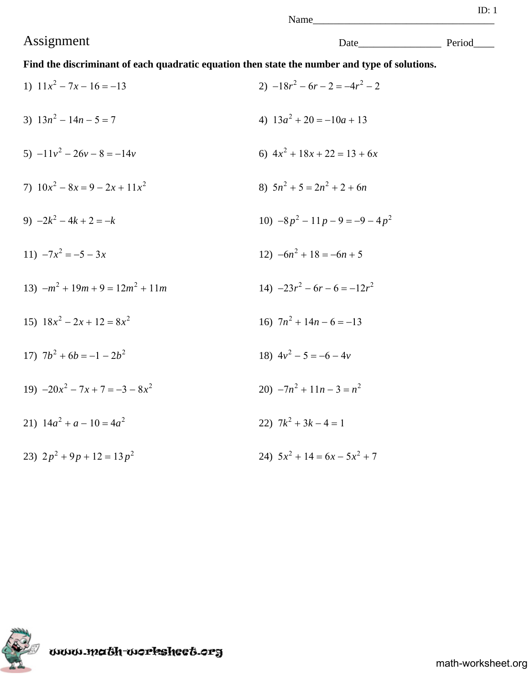Name\_

**Find the discriminant of each quadratic equation then state the number and type of solutions.**

1)  $11x^2 - 7x - 16 = -13$ <br>2)  $-18r^2 - 6r - 2 = -4r^2 - 2$ 3)  $13n^2 - 14n - 5 = 7$ <br>4)  $13a^2 + 20 = -10a + 13$ 5)  $-11v^2 - 26v - 8 = -14v$ <br>6)  $4x^2 + 18x + 22 = 13 + 6x$ 7)  $10x^2 - 8x = 9 - 2x + 11x^2$ <br>8)  $5n^2 + 5 = 2n^2 + 2 + 6n$ 9)  $-2k^2 - 4k + 2 = -k$  <br>10)  $-8p^2 - 11p - 9 = -9 - 4p^2$ 11)  $-7x^2 = -5 - 3x$ <br>12)  $-6n^2 + 18 = -6n + 5$ 13)  $-m^2 + 19m + 9 = 12m^2 + 11m$ <br>14)  $-23r^2 - 6r - 6 = -12r^2$ 15)  $18x^2 - 2x + 12 = 8x^2$  <br>16)  $7n^2 + 14n - 6 = -13$ 17)  $7b^2 + 6b = -1 - 2b^2$ <br>18)  $4v^2 - 5 = -6 - 4v$ 19)  $-20x^2 - 7x + 7 = -3 - 8x^2$ <br>20)  $-7n^2 + 11n - 3 = n^2$ 21)  $14a^2 + a - 10 = 4a^2$  22)  $7k^2 + 3k - 4 = 1$ 23)  $2p^2 + 9p + 12 = 13p^2$ <br>24)  $5x^2 + 14 = 6x - 5x^2 + 7$ 



www.math-worksheet.org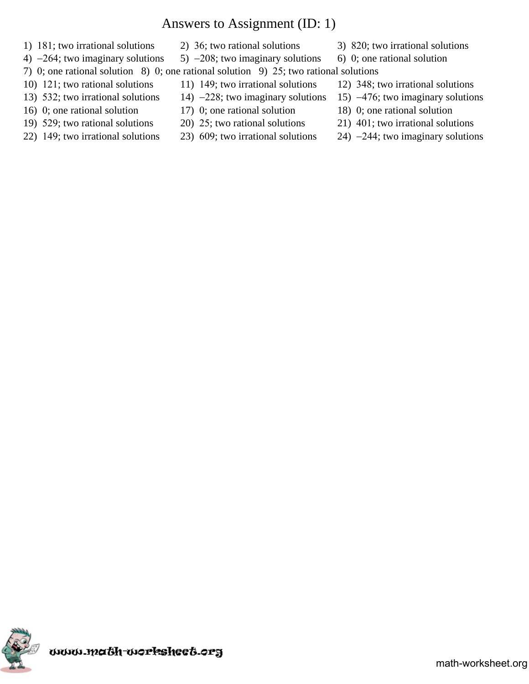# Answers to Assignment (ID: 1)

- 1)  $181$ ; two irrational solutions 2) 36; two rational solutions 3) 820; two irrational solutions
- 4)  $-264$ ; two imaginary solutions 5)  $-208$ ; two imaginary solutions 6) 0; one rational solution
- 
- 
- 
- 
- 
- 
- 
- 
- 
- 7) 0; one rational solution 8) 0; one rational solution 9) 25; two rational solutions
- 10) 121; two rational solutions 11) 149; two irrational solutions 12) 348; two irrational solutions
- 13) 532; two irrational solutions 14)  $-228$ ; two imaginary solutions 15)  $-476$ ; two imaginary solutions
- 16) 0; one rational solution 17) 0; one rational solution 18) 0; one rational solution
- 19)  $529$ ; two rational solutions 20)  $25$ ; two rational solutions 21) 401; two irrational solutions
- 22) 149; two irrational solutions 23) 609; two irrational solutions 24)  $-244$ ; two imaginary solutions

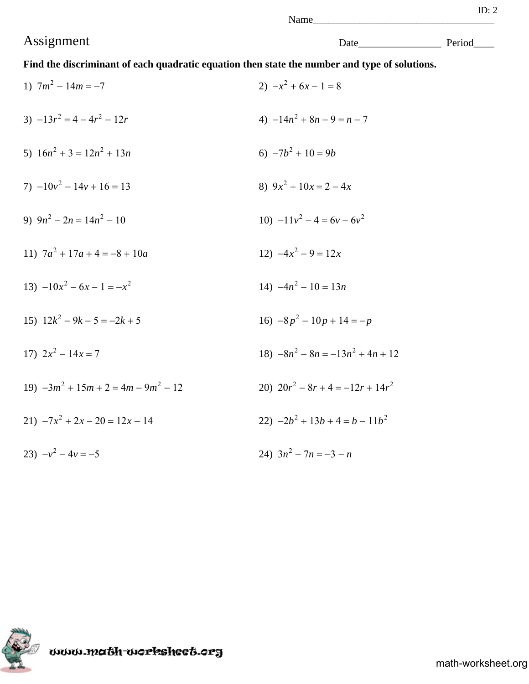Name

**Find the discriminant of each quadratic equation then state the number and type of solutions.**

1)  $7m^2 - 14m = -7$ <br>2)  $-x^2 + 6x - 1 = 8$ 3)  $-13r^2 = 4 - 4r^2 - 12r$ <br>4)  $-14n^2 + 8n - 9 = n - 7$ 5)  $16n^2 + 3 = 12n^2 + 13n$  <br> 6)  $-7b^2 + 10 = 9b$ 7)  $-10y^2 - 14y + 16 = 13$ <br>8)  $9x^2 + 10x = 2 - 4x$ 9)  $9n^2 - 2n = 14n^2 - 10$  <br>  $10) -11v^2 - 4 = 6v - 6v^2$ 11)  $7a^2 + 17a + 4 = -8 + 10a$ <br>12)  $-4x^2 - 9 = 12x$ 13)  $-10x^2 - 6x - 1 = -x^2$  14)  $-4n^2 - 10 = 13n$ 15)  $12k^2 - 9k - 5 = -2k + 5$ <br>16)  $-8p^2 - 10p + 14 = -p$ 17)  $2x^2 - 14x = 7$ <br>18)  $-8n^2 - 8n = -13n^2 + 4n + 12$ 19)  $-3m^2 + 15m + 2 = 4m - 9m^2 - 12$ <br>20)  $20r^2 - 8r + 4 = -12r + 14r^2$ 21)  $-7x^2 + 2x - 20 = 12x - 14$ <br>22)  $-2b^2 + 13b + 4 = b - 11b^2$ 23)  $-v^2 - 4v = -5$ <br>24)  $3n^2 - 7n = -3 - n$ 

www.math-worksheet.org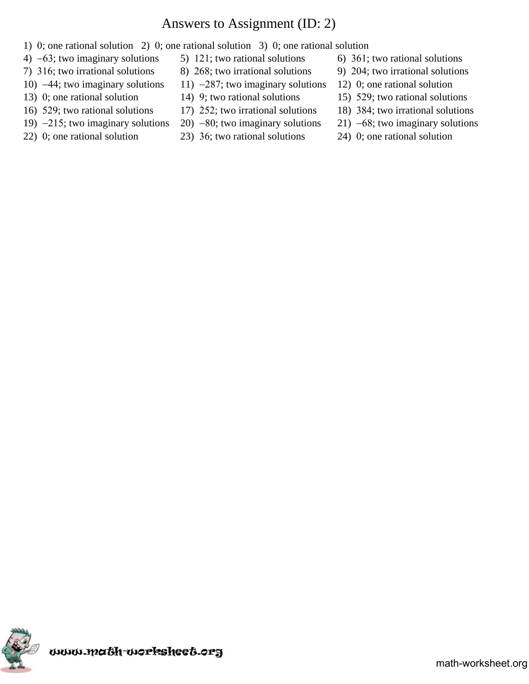# Answers to Assignment (ID: 2)

- 1) 0; one rational solution 2) 0; one rational solution 3) 0; one rational solution
- 4)  $-63$ ; two imaginary solutions 5) 121; two rational solutions 6) 361; two rational solutions
- 
- 
- 
- 
- 
- 
- 
- 7) 316; two irrational solutions 8) 268; two irrational solutions 9) 204; two irrational solutions
- 10)  $-44$ ; two imaginary solutions 11)  $-287$ ; two imaginary solutions 12) 0; one rational solution
	-
- 16) 529; two rational solutions 17) 252; two irrational solutions 18) 384; two irrational solutions
	-
- 22) 0; one rational solution 23)  $36$ ; two rational solutions 24) 0; one rational solution
- 
- 
- 
- 13) 0; one rational solution 14) 9; two rational solutions 15) 529; two rational solutions
	-
- 19)  $-215$ ; two imaginary solutions 20)  $-80$ ; two imaginary solutions 21)  $-68$ ; two imaginary solutions
	-

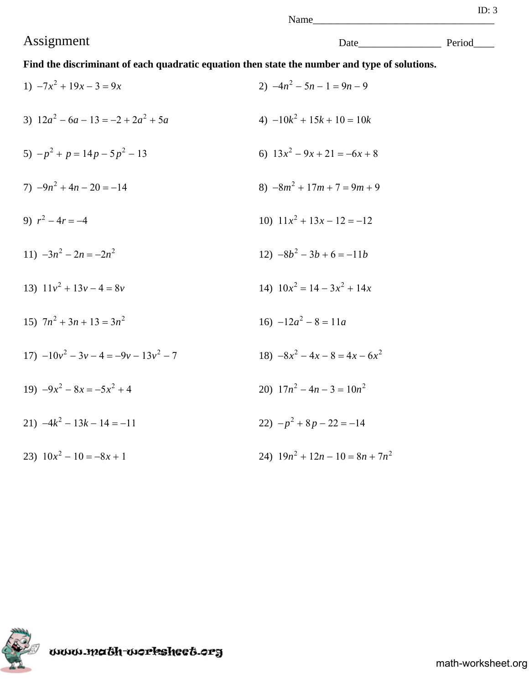**Find the discriminant of each quadratic equation then state the number and type of solutions.**

| 1) $-7x^2 + 19x - 3 = 9x$                   | 2) $-4n^2 - 5n - 1 = 9n - 9$       |
|---------------------------------------------|------------------------------------|
| 3) $12a^2 - 6a - 13 = -2 + 2a^2 + 5a$       | 4) $-10k^2 + 15k + 10 = 10k$       |
| 5) $-p^2 + p = 14p - 5p^2 - 13$             | 6) $13x^2 - 9x + 21 = -6x + 8$     |
| $(7) -9n^2 + 4n - 20 = -14$                 | 8) $-8m^2 + 17m + 7 = 9m + 9$      |
| 9) $r^2 - 4r = -4$                          | 10) $11x^2 + 13x - 12 = -12$       |
| 11) $-3n^2 - 2n = -2n^2$                    | $12) -8b^2 - 3b + 6 = -11b$        |
| 13) $11v^2 + 13v - 4 = 8v$                  | 14) $10x^2 = 14 - 3x^2 + 14x$      |
| 15) $7n^2 + 3n + 13 = 3n^2$                 | 16) $-12a^2 - 8 = 11a$             |
| $17) -10y^{2} - 3y - 4 = -9y - 13y^{2} - 7$ | $-8x^2-4x-8=4x-6x^2$               |
| $-9x^2 - 8x = -5x^2 + 4$                    | 20) $17n^2 - 4n - 3 = 10n^2$       |
| 21) $-4k^2 - 13k - 14 = -11$                | $22) - p^2 + 8p - 22 = -14$        |
| 23) $10x^2 - 10 = -8x + 1$                  | 24) $19n^2 + 12n - 10 = 8n + 7n^2$ |

www.ma6h-workshee6.org

Assignment Date\_\_\_\_\_\_\_\_\_\_\_\_\_\_\_\_ Period\_\_\_\_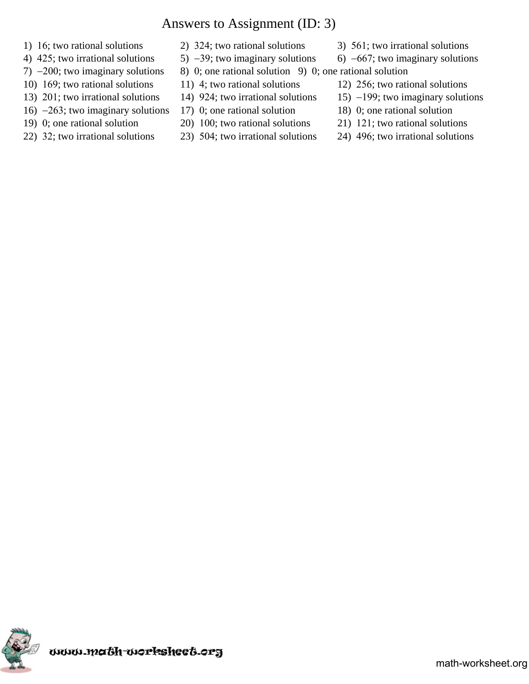## Answers to Assignment (ID: 3)

- 
- 
- 7)  $-200$ ; two imaginary solutions 8) 0; one rational solution 9) 0; one rational solution
- 10)  $169$ ; two rational solutions 11) 4; two rational solutions 12) 256; two rational solutions
- 
- 16)  $-263$ ; two imaginary solutions 17) 0; one rational solution 18) 0; one rational solution
- 
- 
- 
- 
- 
- 
- 
- 
- 
- 
- 1) 16; two rational solutions 2) 324; two rational solutions 3)  $561$ ; two irrational solutions
- 4) 425; two irrational solutions  $\qquad$  5)  $-39$ ; two imaginary solutions  $\qquad$  6)  $-667$ ; two imaginary solutions
	-
- 13) 201; two irrational solutions 14) 924; two irrational solutions 15) -199; two imaginary solutions
	-
- 19) 0; one rational solution 20) 100; two rational solutions  $21$  121; two rational solutions
- 22) 32; two irrational solutions 23) 504; two irrational solutions 24) 496; two irrational solutions

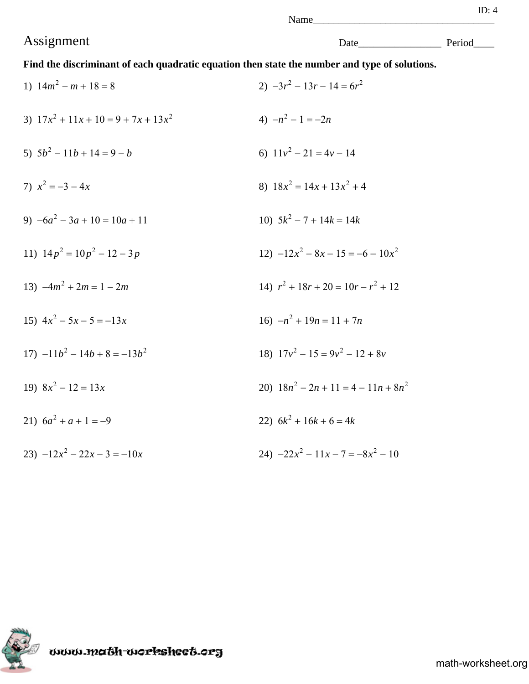# Assignment Date\_\_\_\_\_\_\_\_\_\_\_\_\_\_\_\_ Period\_\_\_\_

**Find the discriminant of each quadratic equation then state the number and type of solutions.**

| 1) $14m^2 - m + 18 = 8$                | 2) $-3r^2 - 13r - 14 = 6r^2$           |
|----------------------------------------|----------------------------------------|
| 3) $17x^2 + 11x + 10 = 9 + 7x + 13x^2$ | 4) $-n^2-1=-2n$                        |
| 5) $5b^2 - 11b + 14 = 9 - b$           | 6) $11v^2 - 21 = 4v - 14$              |
| 7) $x^2 = -3 - 4x$                     | 8) $18x^2 = 14x + 13x^2 + 4$           |
| 9) $-6a^2 - 3a + 10 = 10a + 11$        | 10) $5k^2 - 7 + 14k = 14k$             |
| 11) $14p^2 = 10p^2 - 12 - 3p$          | $12) -12x^2 - 8x - 15 = -6 - 10x^2$    |
| 13) $-4m^2 + 2m = 1 - 2m$              | 14) $r^2 + 18r + 20 = 10r - r^2 + 12$  |
| 15) $4x^2 - 5x - 5 = -13x$             | 16) $-n^2 + 19n = 11 + 7n$             |
| $17) -11b^2 - 14b + 8 = -13b^2$        | 18) $17v^2 - 15 = 9v^2 - 12 + 8v$      |
| 19) $8x^2 - 12 = 13x$                  | 20) $18n^2 - 2n + 11 = 4 - 11n + 8n^2$ |
| 21) $6a^2 + a + 1 = -9$                | 22) $6k^2 + 16k + 6 = 4k$              |
| 23) $-12x^2 - 22x - 3 = -10x$          | 24) $-22x^2 - 11x - 7 = -8x^2 - 10$    |



www.ma6h-workshee6.org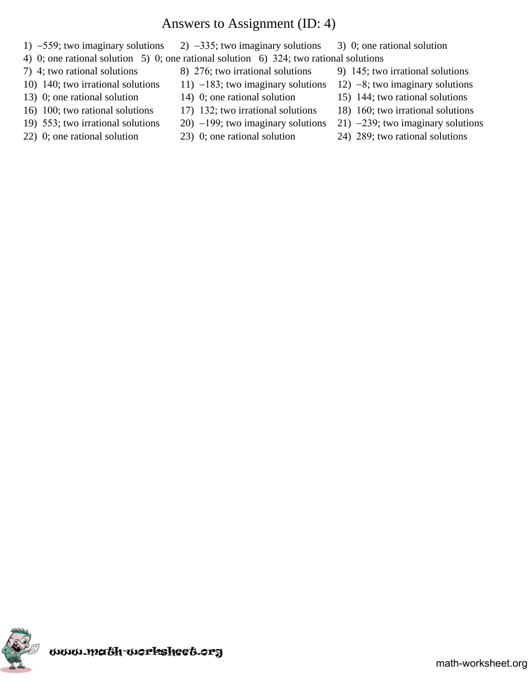## Answers to Assignment (ID: 4)

- 1)  $-559$ ; two imaginary solutions 2)  $-335$ ; two imaginary solutions 3) 0; one rational solution
- 4) 0; one rational solution 5) 0; one rational solution 6) 324; two rational solutions
- 
- 
- 
- 
- 
- 
- 7) 4; two rational solutions 8) 276; two irrational solutions 9) 145; two irrational solutions
- 10) 140; two irrational solutions 11)  $-183$ ; two imaginary solutions 12)  $-8$ ; two imaginary solutions
	-
- 16) 100; two rational solutions 17) 132; two irrational solutions 18) 160; two irrational solutions
	-
	-
- 
- 
- 13) 0; one rational solution 14) 0; one rational solution 15) 144; two rational solutions
	-
- 19) 553; two irrational solutions 20) -199; two imaginary solutions 21) -239; two imaginary solutions
- 22) 0; one rational solution 23) 0; one rational solution 24) 289; two rational solutions

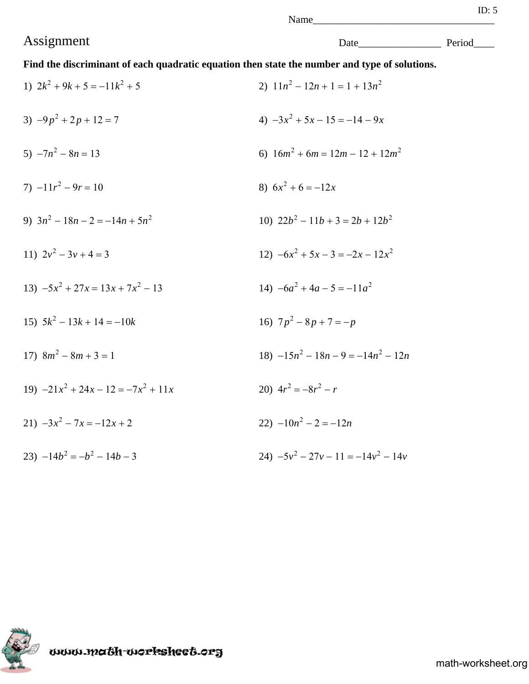Name\_

**Find the discriminant of each quadratic equation then state the number and type of solutions.**

1)  $2k^2 + 9k + 5 = -11k^2 + 5$ <br>2)  $11n^2 - 12n + 1 = 1 + 13n^2$ 3)  $-9p^2 + 2p + 12 = 7$ <br>4)  $-3x^2 + 5x - 15 = -14 - 9x$ 5)  $-7n^2 - 8n = 13$ <br>6)  $16m^2 + 6m = 12m - 12 + 12m^2$  $7)$   $-11r^2 - 9r = 10$  8)  $6x^2 + 6 = -12x$ 9)  $3n^2 - 18n - 2 = -14n + 5n^2$  <br>10)  $22b^2 - 11b + 3 = 2b + 12b^2$ 11)  $2y^2 - 3y + 4 = 3$ <br>12)  $-6x^2 + 5x - 3 = -2x - 12x^2$ 13)  $-5x^2 + 27x = 13x + 7x^2 - 13$ <br>14)  $-6a^2 + 4a - 5 = -11a^2$ 15)  $5k^2 - 13k + 14 = -10k$  <br>16)  $7p^2 - 8p + 7 = -p$ 17)  $8m^2 - 8m + 3 = 1$ <br>18)  $-15n^2 - 18n - 9 = -14n^2 - 12n$ 19)  $-21x^2 + 24x - 12 = -7x^2 + 11x$ <br>20)  $4r^2 = -8r^2 - r$ 21)  $-3x^2 - 7x = -12x + 2$ <br>22)  $-10n^2 - 2 = -12n$ 23)  $-14b^2 = -b^2 - 14b - 3$ <br>24)  $-5y^2 - 27y - 11 = -14y^2 - 14y$ 



www.math-worksheet.org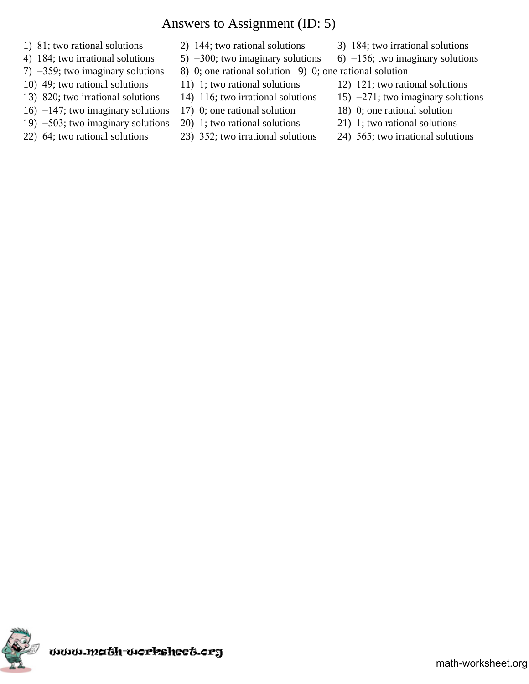## Answers to Assignment (ID: 5)

- 
- 
- 7)  $-359$ ; two imaginary solutions 8) 0; one rational solution 9) 0; one rational solution
- 
- 
- 16)  $-147$ ; two imaginary solutions 17) 0; one rational solution 18) 0; one rational solution
- 19)  $-503$ ; two imaginary solutions 20) 1; two rational solutions 21) 1; two rational solutions
- 
- 
- -
- 
- 
- 
- 
- 1) 81; two rational solutions 2) 144; two rational solutions 3) 184; two irrational solutions
- 4) 184; two irrational solutions  $\qquad$  5)  $-300$ ; two imaginary solutions  $\qquad$  6)  $-156$ ; two imaginary solutions
- 10) 49; two rational solutions 11) 1; two rational solutions 12) 121; two rational solutions
- 13) 820; two irrational solutions 14) 116; two irrational solutions 15)  $-271$ ; two imaginary solutions
	-
	-
- 22)  $64$ ; two rational solutions 23) 352; two irrational solutions 24) 565; two irrational solutions

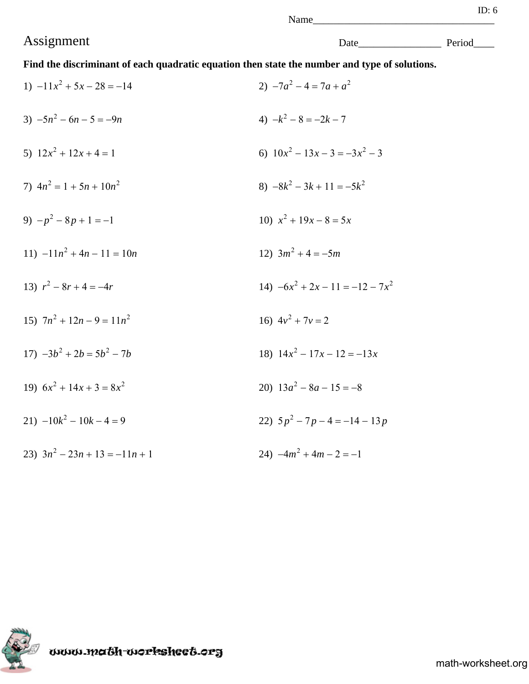Name

**Find the discriminant of each quadratic equation then state the number and type of solutions.**

1)  $-11x^2 + 5x - 28 = -14$ <br>2)  $-7a^2 - 4 = 7a + a^2$ 3)  $-5n^2 - 6n - 5 = -9n$ <br>4)  $-k^2 - 8 = -2k - 7$ 5)  $12x^2 + 12x + 4 = 1$ <br>6)  $10x^2 - 13x - 3 = -3x^2 - 3$ 7)  $4n^2 = 1 + 5n + 10n^2$  8)  $-8k^2 - 3k + 11 = -5k^2$ 9)  $-p^2 - 8p + 1 = -1$  <br>10)  $x^2 + 19x - 8 = 5x$ 11)  $-11n^2 + 4n - 11 = 10n$  12)  $3m^2 + 4 = -5m$ 13)  $r^2 - 8r + 4 = -4r$ <br>14)  $-6x^2 + 2x - 11 = -12 - 7x^2$ 15)  $7n^2 + 12n - 9 = 11n^2$  16)  $4v^2 + 7v = 2$ 17)  $-3b^2 + 2b = 5b^2 - 7b$ <br>18)  $14x^2 - 17x - 12 = -13x$ 19)  $6x^2 + 14x + 3 = 8x^2$ <br>20)  $13a^2 - 8a - 15 = -8$ 21)  $-10k^2 - 10k - 4 = 9$ <br>22)  $5p^2 - 7p - 4 = -14 - 13p$ 23)  $3n^2 - 23n + 13 = -11n + 1$ <br>24)  $-4m^2 + 4m - 2 = -1$ 



ωωω.ma6h-workshee6.org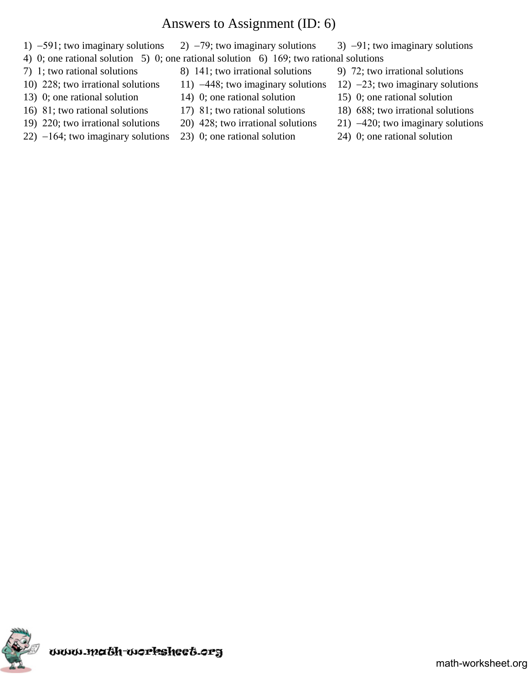## Answers to Assignment (ID: 6)

- 1)  $-591$ ; two imaginary solutions 2)  $-79$ ; two imaginary solutions 3)  $-91$ ; two imaginary solutions
- 4) 0; one rational solution 5) 0; one rational solution 6) 169; two rational solutions
- 
- 
- 
- 
- 
- 22)  $-164$ ; two imaginary solutions 23) 0; one rational solution 24) 0; one rational solution
- 7) 1; two rational solutions 8) 141; two irrational solutions 9) 72; two irrational solutions
- 10) 228; two irrational solutions 11)  $-448$ ; two imaginary solutions 12)  $-23$ ; two imaginary solutions
- 13) 0; one rational solution 14) 0; one rational solution 15) 0; one rational solution
	-
	-
	-
- 
- 
- 
- 16) 81; two rational solutions 17) 81; two rational solutions 18) 688; two irrational solutions
- 19) 220; two irrational solutions 20) 428; two irrational solutions 21)  $-420$ ; two imaginary solutions
	-

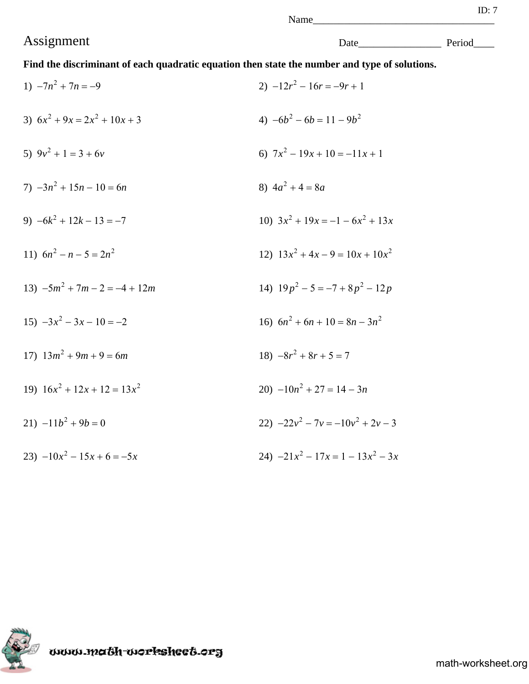**Find the discriminant of each quadratic equation then state the number and type of solutions.**

| 1) $-7n^2 + 7n = -9$            | 2) $-12r^2 - 16r = -9r + 1$         |
|---------------------------------|-------------------------------------|
| 3) $6x^2 + 9x = 2x^2 + 10x + 3$ | 4) $-6b^2 - 6b = 11 - 9b^2$         |
| 5) $9v^2 + 1 = 3 + 6v$          | 6) $7x^2 - 19x + 10 = -11x + 1$     |
| 7) $-3n^2 + 15n - 10 = 6n$      | 8) $4a^2 + 4 = 8a$                  |
| 9) $-6k^2 + 12k - 13 = -7$      | 10) $3x^2 + 19x = -1 - 6x^2 + 13x$  |
| 11) $6n^2 - n - 5 = 2n^2$       | 12) $13x^2 + 4x - 9 = 10x + 10x^2$  |
| 13) $-5m^2 + 7m - 2 = -4 + 12m$ | 14) $19p^2 - 5 = -7 + 8p^2 - 12p$   |
| $15) -3x^2 - 3x - 10 = -2$      | 16) $6n^2 + 6n + 10 = 8n - 3n^2$    |
| 17) $13m^2 + 9m + 9 = 6m$       | $18) -8r^2 + 8r + 5 = 7$            |
| 19) $16x^2 + 12x + 12 = 13x^2$  | 20) $-10n^2 + 27 = 14 - 3n$         |
| 21) $-11b^2 + 9b = 0$           | 22) $-22y^2 - 7y = -10y^2 + 2y - 3$ |
| 23) $-10x^2 - 15x + 6 = -5x$    | 24) $-21x^2 - 17x = 1 - 13x^2 - 3x$ |

www.ma6h-workshee6.org

Assignment Date\_\_\_\_\_\_\_\_\_\_\_\_\_\_\_\_ Period\_\_\_\_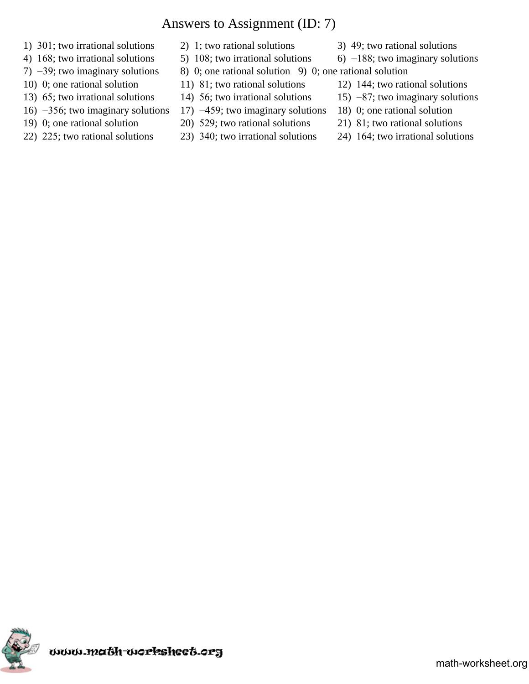# Answers to Assignment (ID: 7)

- 1)  $301$ ; two irrational solutions 2) 1; two rational solutions 3) 49; two rational solutions
- 
- 
- 
- 
- 
- 
- 
- 
- 
- 7)  $-39$ ; two imaginary solutions 8) 0; one rational solution 9) 0; one rational solution
- 10) 0; one rational solution 11)  $81$ ; two rational solutions 12) 144; two rational solutions
- 13) 65; two irrational solutions 14) 56; two irrational solutions 15)  $-87$ ; two imaginary solutions
- 16)  $-356$ ; two imaginary solutions 17)  $-459$ ; two imaginary solutions 18) 0; one rational solution
- 19) 0; one rational solution 20) 529; two rational solutions 21) 81; two rational solutions
- 22) 225; two rational solutions 23) 340; two irrational solutions 24) 164; two irrational solutions
- 
- 4) 168; two irrational solutions  $\qquad$  5) 108; two irrational solutions  $\qquad$  6) -188; two imaginary solutions
	- -
		-
		-
		-

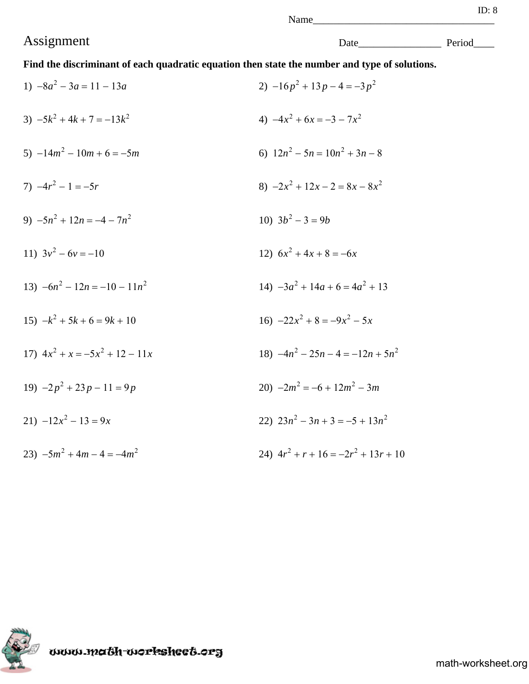Name

**Find the discriminant of each quadratic equation then state the number and type of solutions.**

1)  $-8a^2 - 3a = 11 - 13a$ <br>2)  $-16p^2 + 13p - 4 = -3p^2$ 3)  $-5k^2 + 4k + 7 = -13k^2$ <br>4)  $-4x^2 + 6x = -3 - 7x^2$ 5)  $-14m^2 - 10m + 6 = -5m$ <br>6)  $12n^2 - 5n = 10n^2 + 3n - 8$ 7)  $-4r^2 - 1 = -5r$ <br>8)  $-2x^2 + 12x - 2 = 8x - 8x^2$ 9)  $-5n^2 + 12n = -4 - 7n^2$  10)  $3b^2 - 3 = 9b$ 11)  $3y^2 - 6y = -10$  12)  $6x^2 + 4x + 8 = -6x$ 13)  $-6n^2 - 12n = -10 - 11n^2$  14)  $-3a^2 + 14a + 6 = 4a^2 + 13$ 15)  $-k^2 + 5k + 6 = 9k + 10$ <br>16)  $-22x^2 + 8 = -9x^2 - 5x$ 17)  $4x^2 + x = -5x^2 + 12 - 11x$ <br>18)  $-4n^2 - 25n - 4 = -12n + 5n^2$ 19)  $-2p^2 + 23p - 11 = 9p$ <br>20)  $-2m^2 = -6 + 12m^2 - 3m$ 21)  $-12x^2 - 13 = 9x$ <br>22)  $23n^2 - 3n + 3 = -5 + 13n^2$ 23)  $-5m^2 + 4m - 4 = -4m^2$ <br>24)  $4r^2 + r + 16 = -2r^2 + 13r + 10$ 

www.math-worksheet.org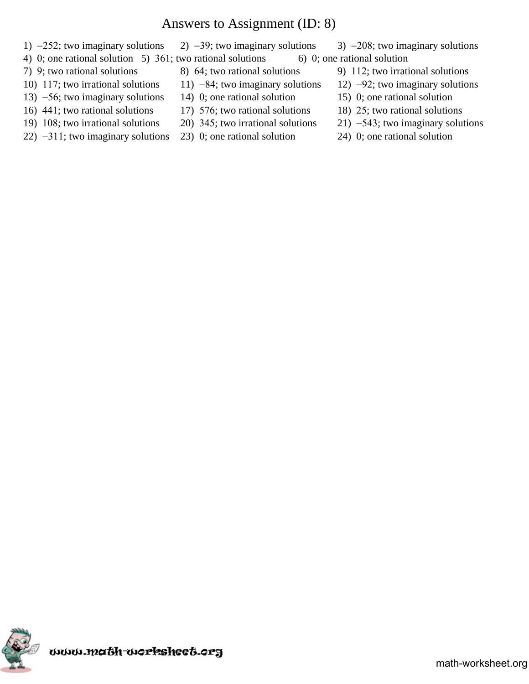### Answers to Assignment (ID: 8)

- 1)  $-252$ ; two imaginary solutions 2)  $-39$ ; two imaginary solutions 3)  $-208$ ; two imaginary solutions
- 4) 0; one rational solution 5)  $361$ ; two rational solutions 6) 0; one rational solution
- 
- 
- 13)  $-56$ ; two imaginary solutions 14) 0; one rational solution 15) 0; one rational solution
- 
- 
- 22)  $-311$ ; two imaginary solutions 23) 0; one rational solution 24) 0; one rational solution
- 
- 
- 
- 16) 441; two rational solutions 17) 576; two rational solutions 18) 25; two rational solutions
	-
	-
- 
- 7) 9; two rational solutions 8) 64; two rational solutions 9) 112; two irrational solutions
- 10) 117; two irrational solutions 11) -84; two imaginary solutions 12) -92; two imaginary solutions
	-
	-
- 19) 108; two irrational solutions 20) 345; two irrational solutions 21)  $-543$ ; two imaginary solutions
	-

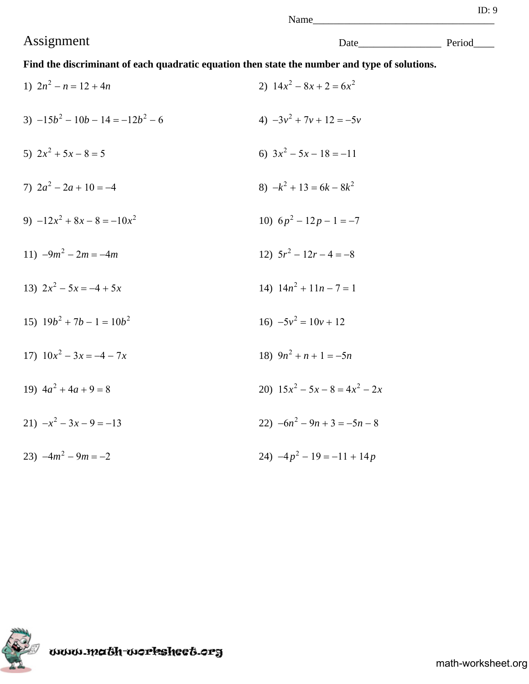# Assignment Date\_\_\_\_\_\_\_\_\_\_\_\_\_\_\_\_ Period\_\_\_\_

**Find the discriminant of each quadratic equation then state the number and type of solutions.**

| 1) $2n^2 - n = 12 + 4n$          | 2) $14x^2 - 8x + 2 = 6x^2$       |
|----------------------------------|----------------------------------|
| $-15b^2 - 10b - 14 = -12b^2 - 6$ | 4) $-3y^2 + 7y + 12 = -5y$       |
| 5) $2x^2 + 5x - 8 = 5$           | 6) $3x^2 - 5x - 18 = -11$        |
| 7) $2a^2 - 2a + 10 = -4$         | 8) $-k^2 + 13 = 6k - 8k^2$       |
| 9) $-12x^2 + 8x - 8 = -10x^2$    | 10) $6p^2 - 12p - 1 = -7$        |
| 11) $-9m^2 - 2m = -4m$           | 12) $5r^2 - 12r - 4 = -8$        |
| 13) $2x^2 - 5x = -4 + 5x$        | 14) $14n^2 + 11n - 7 = 1$        |
| 15) $19b^2 + 7b - 1 = 10b^2$     | 16) $-5v^2 = 10v + 12$           |
| 17) $10x^2 - 3x = -4 - 7x$       | 18) $9n^2 + n + 1 = -5n$         |
| 19) $4a^2 + 4a + 9 = 8$          | 20) $15x^2 - 5x - 8 = 4x^2 - 2x$ |
| $21) -x^2 - 3x - 9 = -13$        | 22) $-6n^2 - 9n + 3 = -5n - 8$   |
| 23) $-4m^2 - 9m = -2$            | 24) $-4p^2 - 19 = -11 + 14p$     |



www.math-worksheet.org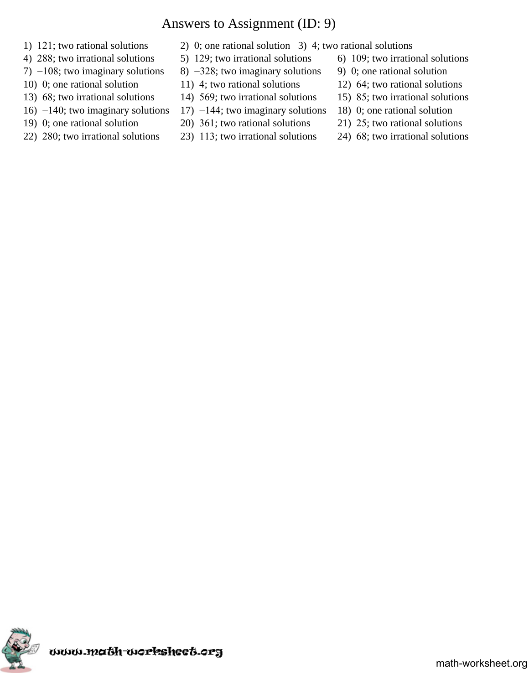# Answers to Assignment (ID: 9)

- 
- 
- 
- 
- 
- 16)  $-140$ ; two imaginary solutions 17)  $-144$ ; two imaginary solutions 18) 0; one rational solution
- 
- 
- 1) 121; two rational solutions 2) 0; one rational solution 3) 4; two rational solutions
- 4) 288; two irrational solutions 5) 129; two irrational solutions 6) 109; two irrational solutions
- 7)  $-108$ ; two imaginary solutions 8)  $-328$ ; two imaginary solutions 9) 0; one rational solution
- 10) 0; one rational solution 11) 4; two rational solutions 12) 64; two rational solutions
- 13)  $68$ ; two irrational solutions 14)  $569$ ; two irrational solutions 15)  $85$ ; two irrational solutions
	-
- 19) 0; one rational solution 20) 361; two rational solutions 21) 25; two rational solutions
- 22) 280; two irrational solutions 23) 113; two irrational solutions 24) 68; two irrational solutions
- 
- 
- 
- 
- 
- 
- 

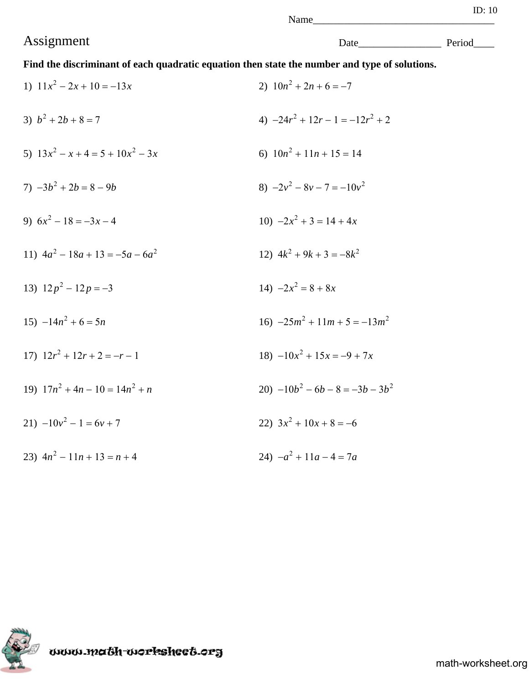# Assignment Date\_\_\_\_\_\_\_\_\_\_\_\_\_\_\_\_ Period\_\_\_\_

**Find the discriminant of each quadratic equation then state the number and type of solutions.**

| 1) $11x^2 - 2x + 10 = -13x$         | 2) $10n^2 + 2n + 6 = -7$           |
|-------------------------------------|------------------------------------|
| 3) $b^2 + 2b + 8 = 7$               | 4) $-24r^2 + 12r - 1 = -12r^2 + 2$ |
| 5) $13x^2 - x + 4 = 5 + 10x^2 - 3x$ | 6) $10n^2 + 11n + 15 = 14$         |
| $7) -3b^2 + 2b = 8 - 9b$            | 8) $-2v^2 - 8v - 7 = -10v^2$       |
| 9) $6x^2 - 18 = -3x - 4$            | 10) $-2x^2 + 3 = 14 + 4x$          |
| 11) $4a^2 - 18a + 13 = -5a - 6a^2$  | 12) $4k^2 + 9k + 3 = -8k^2$        |
| 13) $12p^2 - 12p = -3$              | 14) $-2x^2 = 8 + 8x$               |
| 15) $-14n^2 + 6 = 5n$               | 16) $-25m^2 + 11m + 5 = -13m^2$    |
| 17) $12r^2 + 12r + 2 = -r - 1$      | $18) -10x^2 + 15x = -9 + 7x$       |
| 19) $17n^2 + 4n - 10 = 14n^2 + n$   | 20) $-10b^2 - 6b - 8 = -3b - 3b^2$ |
| 21) $-10v^2 - 1 = 6v + 7$           | 22) $3x^2 + 10x + 8 = -6$          |
| 23) $4n^2 - 11n + 13 = n + 4$       | 24) $-a^2 + 11a - 4 = 7a$          |



www.ma6h-workshee6.org